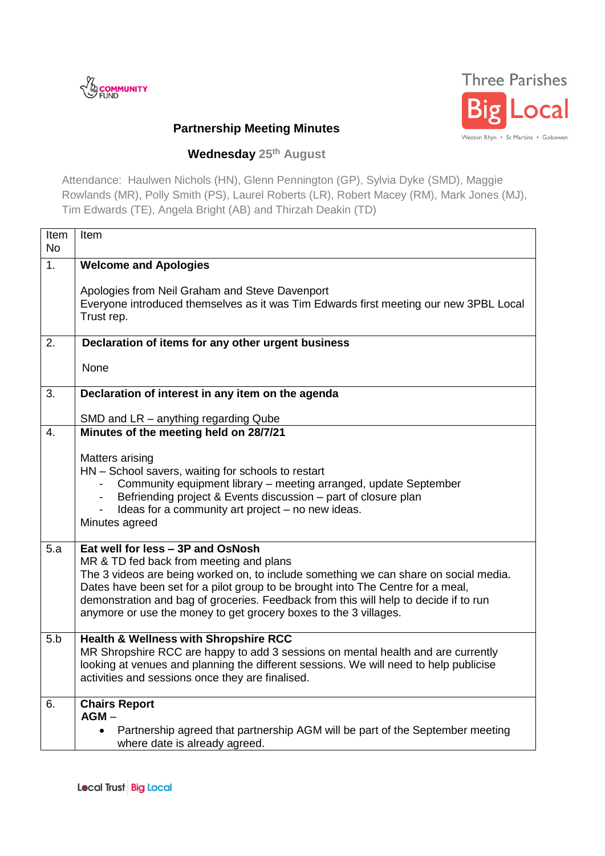



## **Partnership Meeting Minutes**

## **Wednesday 25th August**

Attendance: Haulwen Nichols (HN), Glenn Pennington (GP), Sylvia Dyke (SMD), Maggie Rowlands (MR), Polly Smith (PS), Laurel Roberts (LR), Robert Macey (RM), Mark Jones (MJ), Tim Edwards (TE), Angela Bright (AB) and Thirzah Deakin (TD)

| Item                                                                                                                                                                                                                                                                   |
|------------------------------------------------------------------------------------------------------------------------------------------------------------------------------------------------------------------------------------------------------------------------|
| <b>Welcome and Apologies</b>                                                                                                                                                                                                                                           |
| Apologies from Neil Graham and Steve Davenport<br>Everyone introduced themselves as it was Tim Edwards first meeting our new 3PBL Local<br>Trust rep.                                                                                                                  |
| Declaration of items for any other urgent business                                                                                                                                                                                                                     |
| None                                                                                                                                                                                                                                                                   |
| Declaration of interest in any item on the agenda                                                                                                                                                                                                                      |
| SMD and LR - anything regarding Qube<br>Minutes of the meeting held on 28/7/21                                                                                                                                                                                         |
| Matters arising<br>HN - School savers, waiting for schools to restart                                                                                                                                                                                                  |
| Community equipment library - meeting arranged, update September<br>Befriending project & Events discussion - part of closure plan<br>Ideas for a community art project - no new ideas.                                                                                |
| Minutes agreed                                                                                                                                                                                                                                                         |
| Eat well for less - 3P and OsNosh<br>MR & TD fed back from meeting and plans<br>The 3 videos are being worked on, to include something we can share on social media.                                                                                                   |
| Dates have been set for a pilot group to be brought into The Centre for a meal,<br>demonstration and bag of groceries. Feedback from this will help to decide if to run<br>anymore or use the money to get grocery boxes to the 3 villages.                            |
| Health & Wellness with Shropshire RCC<br>MR Shropshire RCC are happy to add 3 sessions on mental health and are currently<br>looking at venues and planning the different sessions. We will need to help publicise<br>activities and sessions once they are finalised. |
| <b>Chairs Report</b><br>$AGM -$                                                                                                                                                                                                                                        |
| Partnership agreed that partnership AGM will be part of the September meeting<br>where date is already agreed.                                                                                                                                                         |
|                                                                                                                                                                                                                                                                        |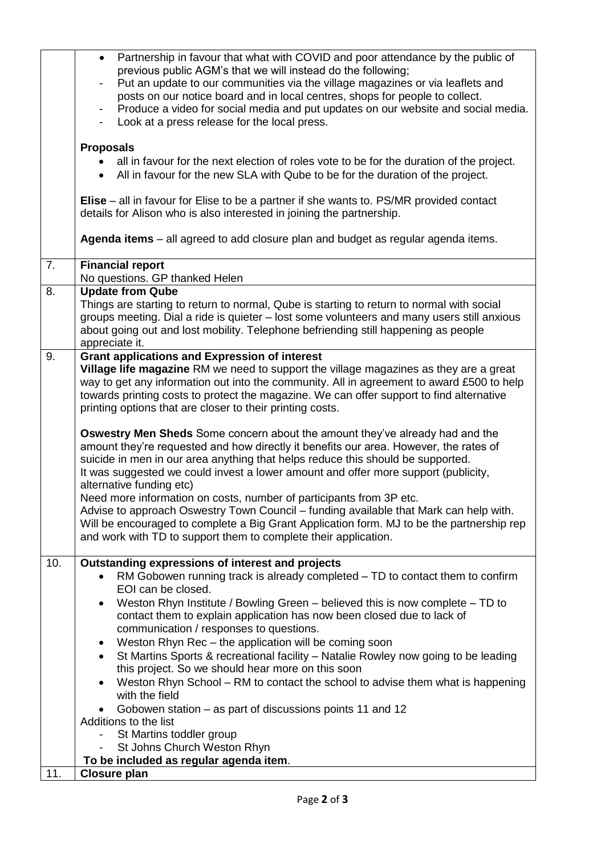|     | Partnership in favour that what with COVID and poor attendance by the public of<br>$\bullet$     |
|-----|--------------------------------------------------------------------------------------------------|
|     | previous public AGM's that we will instead do the following;                                     |
|     | Put an update to our communities via the village magazines or via leaflets and                   |
|     | posts on our notice board and in local centres, shops for people to collect.                     |
|     | Produce a video for social media and put updates on our website and social media.                |
|     | Look at a press release for the local press.                                                     |
|     | <b>Proposals</b>                                                                                 |
|     | all in favour for the next election of roles vote to be for the duration of the project.         |
|     | All in favour for the new SLA with Qube to be for the duration of the project.<br>$\bullet$      |
|     |                                                                                                  |
|     | Elise – all in favour for Elise to be a partner if she wants to. PS/MR provided contact          |
|     | details for Alison who is also interested in joining the partnership.                            |
|     |                                                                                                  |
|     | Agenda items – all agreed to add closure plan and budget as regular agenda items.                |
| 7.  | <b>Financial report</b>                                                                          |
|     | No questions. GP thanked Helen                                                                   |
| 8.  | <b>Update from Qube</b>                                                                          |
|     | Things are starting to return to normal, Qube is starting to return to normal with social        |
|     | groups meeting. Dial a ride is quieter - lost some volunteers and many users still anxious       |
|     | about going out and lost mobility. Telephone befriending still happening as people               |
|     | appreciate it.                                                                                   |
| 9.  | <b>Grant applications and Expression of interest</b>                                             |
|     | Village life magazine RM we need to support the village magazines as they are a great            |
|     | way to get any information out into the community. All in agreement to award £500 to help        |
|     | towards printing costs to protect the magazine. We can offer support to find alternative         |
|     | printing options that are closer to their printing costs.                                        |
|     | <b>Oswestry Men Sheds</b> Some concern about the amount they've already had and the              |
|     | amount they're requested and how directly it benefits our area. However, the rates of            |
|     | suicide in men in our area anything that helps reduce this should be supported.                  |
|     | It was suggested we could invest a lower amount and offer more support (publicity,               |
|     | alternative funding etc)                                                                         |
|     | Need more information on costs, number of participants from 3P etc.                              |
|     | Advise to approach Oswestry Town Council – funding available that Mark can help with.            |
|     | Will be encouraged to complete a Big Grant Application form. MJ to be the partnership rep        |
|     | and work with TD to support them to complete their application.                                  |
|     |                                                                                                  |
| 10. | Outstanding expressions of interest and projects                                                 |
|     | RM Gobowen running track is already completed - TD to contact them to confirm                    |
|     | EOI can be closed.                                                                               |
|     | Weston Rhyn Institute / Bowling Green – believed this is now complete – TD to<br>$\bullet$       |
|     | contact them to explain application has now been closed due to lack of                           |
|     | communication / responses to questions.                                                          |
|     | Weston Rhyn Rec - the application will be coming soon<br>٠                                       |
|     | St Martins Sports & recreational facility - Natalie Rowley now going to be leading<br>$\bullet$  |
|     | this project. So we should hear more on this soon                                                |
|     | Weston Rhyn School - RM to contact the school to advise them what is happening<br>with the field |
|     | Gobowen station - as part of discussions points 11 and 12                                        |
|     | Additions to the list                                                                            |
|     | St Martins toddler group                                                                         |
|     | St Johns Church Weston Rhyn                                                                      |
|     | To be included as regular agenda item.                                                           |
| 11. | <b>Closure plan</b>                                                                              |
|     |                                                                                                  |